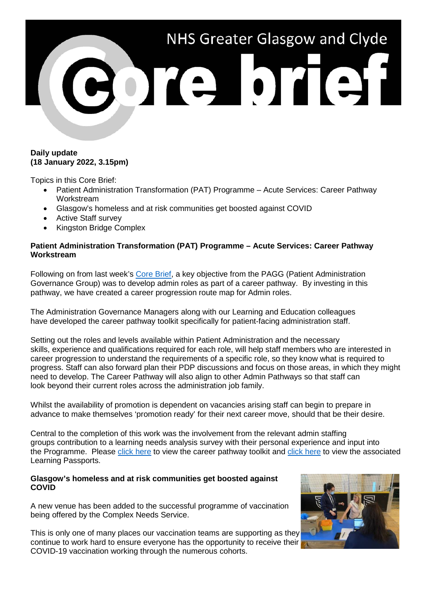

## **Daily update (18 January 2022, 3.15pm)**

Topics in this Core Brief:

- Patient Administration Transformation (PAT) Programme Acute Services: Career Pathway Workstream
- Glasgow's homeless and at risk communities get boosted against COVID
- Active Staff survey
- Kingston Bridge Complex

# **Patient Administration Transformation (PAT) Programme – Acute Services: Career Pathway Workstream**

Following on from last week's [Core Brief,](https://www.nhsggc.org.uk/media/270869/004-core-brief-12-january-2022-daily-update-315pm.pdf) a key objective from the PAGG (Patient Administration Governance Group) was to develop admin roles as part of a career pathway. By investing in this pathway, we have created a career progression route map for Admin roles.

The Administration Governance Managers along with our Learning and Education colleagues have developed the career pathway toolkit specifically for patient-facing administration staff.

Setting out the roles and levels available within Patient Administration and the necessary skills, experience and qualifications required for each role, will help staff members who are interested in career progression to understand the requirements of a specific role, so they know what is required to progress. Staff can also forward plan their PDP discussions and focus on those areas, in which they might need to develop. The Career Pathway will also align to other Admin Pathways so that staff can look beyond their current roles across the administration job family.

Whilst the availability of promotion is dependent on vacancies arising staff can begin to prepare in advance to make themselves 'promotion ready' for their next career move, should that be their desire.

Central to the completion of this work was the involvement from the relevant admin staffing groups contribution to a learning needs analysis survey with their personal experience and input into the Programme. Please [click here](https://scottish.sharepoint.com/sites/GGC-PatientAdministrationTransformationProgramme/Shared%20Documents/Forms/AllItems.aspx?id=%2Fsites%2FGGC%2DPatientAdministrationTransformationProgramme%2FShared%20Documents%2FCAREER%20AND%20EDUCATION%20PATHWAY%2FPAT%20Career%20and%20Education%20Pathway%20September%202021%2Epdf&parent=%2Fsites%2FGGC%2DPatientAdministrationTransformationProgramme%2FShared%20Documents%2FCAREER%20AND%20EDUCATION%20PATHWAY&p=true) to view the career pathway toolkit and [click here](https://scottish.sharepoint.com/sites/GGC-PatientAdministrationTransformationProgramme/Shared%20Documents/Forms/AllItems.aspx?id=%2Fsites%2FGGC%2DPatientAdministrationTransformationProgramme%2FShared%20Documents%2FLEARNING%20PASSPORTS&p=true) to view the associated Learning Passports.

### **Glasgow's homeless and at risk communities get boosted against COVID**

A new venue has been added to the successful programme of vaccination being offered by the Complex Needs Service.

This is only one of many places our vaccination teams are supporting as they continue to work hard to ensure everyone has the opportunity to receive their COVID-19 vaccination working through the numerous cohorts.